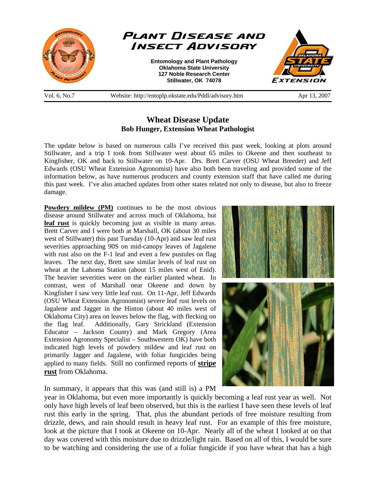

## **Wheat Disease Update Bob Hunger, Extension Wheat Pathologist**

The update below is based on numerous calls I've received this past week, looking at plots around Stillwater, and a trip I took from Stillwater west about 65 miles to Okeene and then southeast to Kingfisher, OK and back to Stillwater on 10-Apr. Drs. Brett Carver (OSU Wheat Breeder) and Jeff Edwards (OSU Wheat Extension Agronomist) have also both been traveling and provided some of the information below, as have numerous producers and county extension staff that have called me during this past week. I've also attached updates from other states related not only to disease, but also to freeze damage.

**Powdery mildew (PM)** continues to be the most obvious disease around Stillwater and across much of Oklahoma, but **leaf rust** is quickly becoming just as visible in many areas. Brett Carver and I were both at Marshall, OK (about 30 miles west of Stillwater) this past Tuesday (10-Apr) and saw leaf rust severities approaching 90S on mid-canopy leaves of Jagalene with rust also on the F-1 leaf and even a few pustules on flag leaves. The next day, Brett saw similar levels of leaf rust on wheat at the Lahoma Station (about 15 miles west of Enid). The heavier severities were on the earlier planted wheat. In contrast, west of Marshall near Okeene and down by Kingfisher I saw very little leaf rust. On 11-Apr, Jeff Edwards (OSU Wheat Extension Agronomist) severe leaf rust levels on Jagalene and Jagger in the Hinton (about 40 miles west of Oklahoma City) area on leaves below the flag, with flecking on the flag leaf. Additionally, Gary Strickland (Extension Educator – Jackson County) and Mark Gregory (Area Extension Agronomy Specialist – Southwestern OK) have both indicated high levels of powdery mildew and leaf rust on primarily Jagger and Jagalene, with foliar fungicides being applied to many fields. Still no confirmed reports of **stripe rust** from Oklahoma.



In summary, it appears that this was (and still is) a PM

year in Oklahoma, but even more importantly is quickly becoming a leaf rust year as well. Not only have high levels of leaf been observed, but this is the earliest I have seen these levels of leaf rust this early in the spring. That, plus the abundant periods of free moisture resulting from drizzle, dews, and rain should result in heavy leaf rust. For an example of this free moisture, look at the picture that I took at Okeene on 10-Apr. Nearly all of the wheat I looked at on that day was covered with this moisture due to drizzle/light rain. Based on all of this, I would be sure to be watching and considering the use of a foliar fungicide if you have wheat that has a high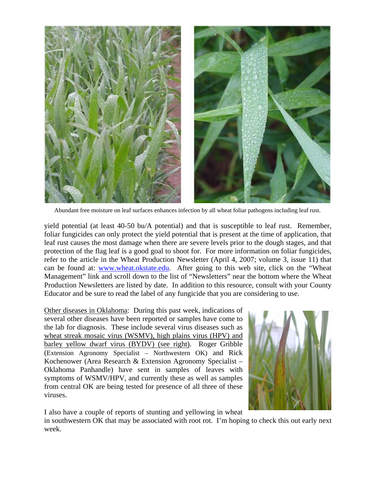

Abundant free moisture on leaf surfaces enhances infection by all wheat foliar pathogens including leaf rust.

yield potential (at least 40-50 bu/A potential) and that is susceptible to leaf rust. Remember, foliar fungicides can only protect the yield potential that is present at the time of application, that leaf rust causes the most damage when there are severe levels prior to the dough stages, and that protection of the flag leaf is a good goal to shoot for. For more information on foliar fungicides, refer to the article in the Wheat Production Newsletter (April 4, 2007; volume 3, issue 11) that can be found at: www.wheat.okstate.edu. After going to this web site, click on the "Wheat Management" link and scroll down to the list of "Newsletters" near the bottom where the Wheat Production Newsletters are listed by date. In addition to this resource, consult with your County Educator and be sure to read the label of any fungicide that you are considering to use.

Other diseases in Oklahoma: During this past week, indications of several other diseases have been reported or samples have come to the lab for diagnosis. These include several virus diseases such as wheat streak mosaic virus (WSMV), high plains virus (HPV) and barley yellow dwarf virus (BYDV) (see right). Roger Gribble (Extension Agronomy Specialist – Northwestern OK) and Rick Kochenower (Area Research & Extension Agronomy Specialist – Oklahoma Panhandle) have sent in samples of leaves with symptoms of WSMV/HPV, and currently these as well as samples from central OK are being tested for presence of all three of these viruses.



I also have a couple of reports of stunting and yellowing in wheat

in southwestern OK that may be associated with root rot. I'm hoping to check this out early next week.